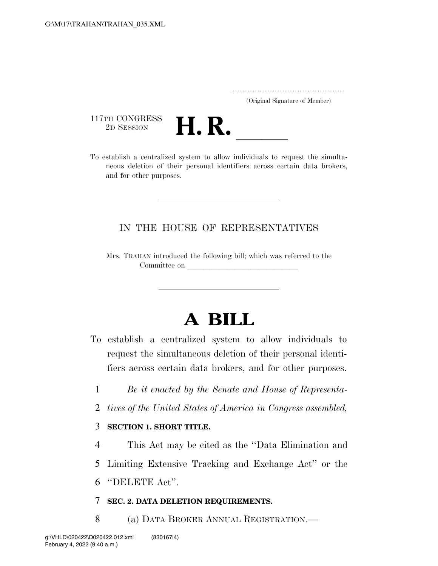..................................................................... (Original Signature of Member)

117TH CONGRESS<br>2D SESSION



<sup>117TH CONGRESS</sup><br>
<sup>2D SESSION</sup><br>
To establish a centralized system to allow individuals to request the simultaneous deletion of their personal identifiers across certain data brokers, and for other purposes.

## IN THE HOUSE OF REPRESENTATIVES

Mrs. TRAHAN introduced the following bill; which was referred to the Committee on

## **A BILL**

- To establish a centralized system to allow individuals to request the simultaneous deletion of their personal identifiers across certain data brokers, and for other purposes.
	- 1 *Be it enacted by the Senate and House of Representa-*
	- 2 *tives of the United States of America in Congress assembled,*

## 3 **SECTION 1. SHORT TITLE.**

- 4 This Act may be cited as the ''Data Elimination and
- 5 Limiting Extensive Tracking and Exchange Act'' or the
- 6 ''DELETE Act''.
- 7 **SEC. 2. DATA DELETION REQUIREMENTS.**
- 8 (a) DATA BROKER ANNUAL REGISTRATION.—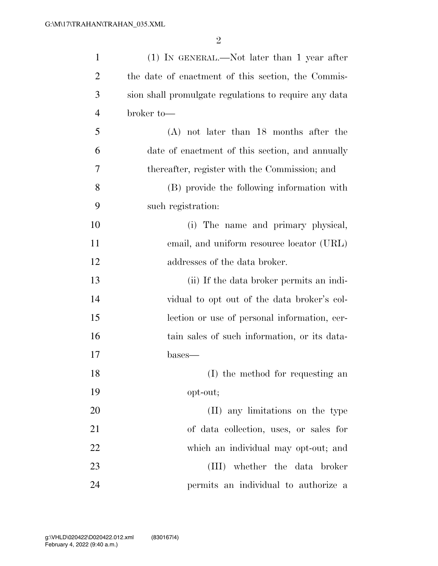| $\mathbf{1}$   | $(1)$ IN GENERAL.—Not later than 1 year after         |
|----------------|-------------------------------------------------------|
| $\overline{2}$ | the date of enactment of this section, the Commis-    |
| 3              | sion shall promulgate regulations to require any data |
| $\overline{4}$ | broker to-                                            |
| 5              | $(A)$ not later than 18 months after the              |
| 6              | date of enactment of this section, and annually       |
| 7              | thereafter, register with the Commission; and         |
| 8              | (B) provide the following information with            |
| 9              | such registration:                                    |
| 10             | (i) The name and primary physical,                    |
| 11             | email, and uniform resource locator (URL)             |
| 12             | addresses of the data broker.                         |
| 13             | (ii) If the data broker permits an indi-              |
| 14             | vidual to opt out of the data broker's col-           |
| 15             | lection or use of personal information, cer-          |
| 16             | tain sales of such information, or its data-          |
| 17             | bases—                                                |
| 18             | (I) the method for requesting an                      |
| 19             | opt-out;                                              |
| 20             | (II) any limitations on the type                      |
| 21             | of data collection, uses, or sales for                |
| 22             | which an individual may opt-out; and                  |
| 23             | (III) whether the data broker                         |
| 24             | permits an individual to authorize a                  |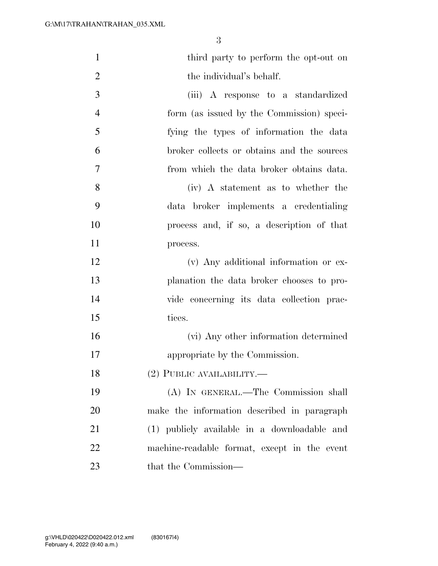| $\mathbf{1}$   | third party to perform the opt-out on        |
|----------------|----------------------------------------------|
| $\overline{2}$ | the individual's behalf.                     |
| 3              | (iii) A response to a standardized           |
| $\overline{4}$ | form (as issued by the Commission) speci-    |
| 5              | fying the types of information the data      |
| 6              | broker collects or obtains and the sources   |
| 7              | from which the data broker obtains data.     |
| 8              | (iv) A statement as to whether the           |
| 9              | data broker implements a credentialing       |
| 10             | process and, if so, a description of that    |
| 11             | process.                                     |
| 12             | (v) Any additional information or ex-        |
| 13             | planation the data broker chooses to pro-    |
| 14             | vide concerning its data collection prac-    |
| 15             | tices.                                       |
| 16             | (vi) Any other information determined        |
| 17             | appropriate by the Commission.               |
| 18             | $(2)$ PUBLIC AVAILABILITY.—                  |
| 19             | (A) IN GENERAL.—The Commission shall         |
| 20             | make the information described in paragraph  |
| 21             | (1) publicly available in a downloadable and |
| 22             | machine-readable format, except in the event |
| 23             | that the Commission—                         |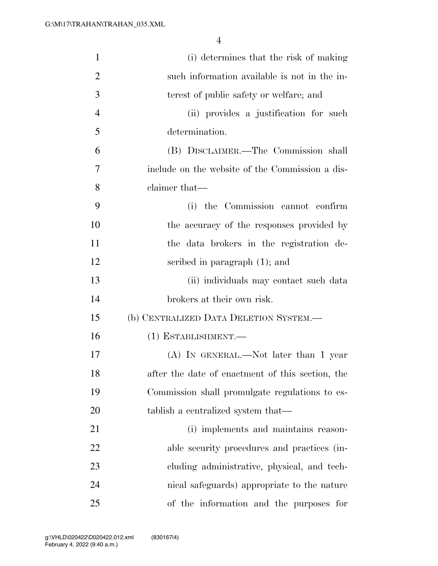| $\mathbf{1}$   |                                                  |
|----------------|--------------------------------------------------|
|                | (i) determines that the risk of making           |
| $\overline{2}$ | such information available is not in the in-     |
| 3              | terest of public safety or welfare; and          |
| 4              | (ii) provides a justification for such           |
| 5              | determination.                                   |
| 6              | (B) DISCLAIMER.—The Commission shall             |
| 7              | include on the website of the Commission a dis-  |
| 8              | claimer that—                                    |
| 9              | (i) the Commission cannot confirm                |
| 10             | the accuracy of the responses provided by        |
| 11             | the data brokers in the registration de-         |
| 12             | scribed in paragraph $(1)$ ; and                 |
| 13             | (ii) individuals may contact such data           |
| 14             | brokers at their own risk.                       |
| 15             | (b) CENTRALIZED DATA DELETION SYSTEM.-           |
| 16             | $(1)$ ESTABLISHMENT.—                            |
| 17             | $(A)$ In GENERAL.—Not later than 1 year          |
| 18             | after the date of enactment of this section, the |
| 19             | Commission shall promulgate regulations to es-   |
| 20             | tablish a centralized system that—               |
| 21             | (i) implements and maintains reason-             |
| 22             | able security procedures and practices (in-      |
| 23             | cluding administrative, physical, and tech-      |
| 24             | nical safeguards) appropriate to the nature      |
| 25             | of the information and the purposes for          |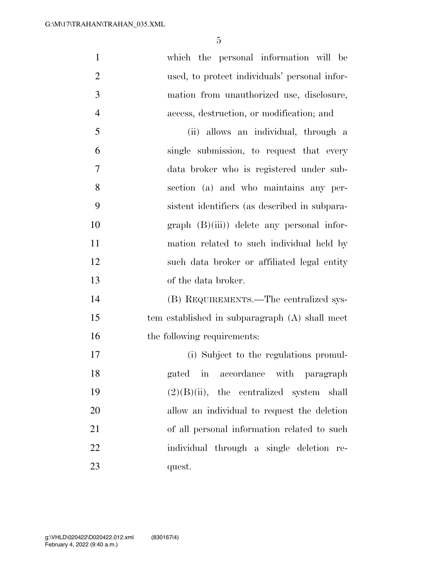| $\mathbf{1}$   | which the personal information will be         |
|----------------|------------------------------------------------|
| $\overline{2}$ | used, to protect individuals' personal infor-  |
| 3              | mation from unauthorized use, disclosure,      |
| $\overline{4}$ | access, destruction, or modification; and      |
| 5              | (ii) allows an individual, through a           |
| 6              | single submission, to request that every       |
| 7              | data broker who is registered under sub-       |
| 8              | section (a) and who maintains any per-         |
| 9              | sistent identifiers (as described in subpara-  |
| 10             | $graph$ $(B)(iii)$ delete any personal infor-  |
| 11             | mation related to such individual held by      |
| 12             | such data broker or affiliated legal entity    |
| 13             | of the data broker.                            |
| 14             | (B) REQUIREMENTS.—The centralized sys-         |
| 15             | tem established in subparagraph (A) shall meet |
| 16             | the following requirements:                    |
| 17             | (i) Subject to the regulations promul-         |
| 18             | gated in accordance with paragraph             |
| 19             | $(2)(B)(ii)$ , the centralized system shall    |
| 20             | allow an individual to request the deletion    |
| 21             | of all personal information related to such    |
| 22             | individual through a single deletion re-       |
| 23             | quest.                                         |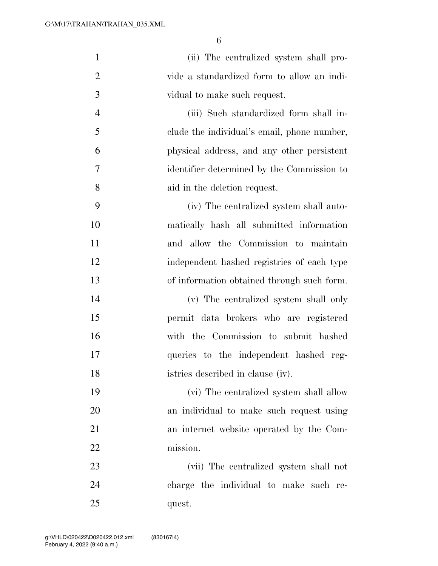| $\mathbf{1}$   | (ii) The centralized system shall pro-      |
|----------------|---------------------------------------------|
| $\overline{2}$ | vide a standardized form to allow an indi-  |
| 3              | vidual to make such request.                |
| $\overline{4}$ | (iii) Such standardized form shall in-      |
| 5              | clude the individual's email, phone number, |
| 6              | physical address, and any other persistent  |
| 7              | identifier determined by the Commission to  |
| 8              | aid in the deletion request.                |
| 9              | (iv) The centralized system shall auto-     |
| 10             | matically hash all submitted information    |
| 11             | and allow the Commission to maintain        |
| 12             | independent hashed registries of each type  |
| 13             | of information obtained through such form.  |
| 14             | (v) The centralized system shall only       |
| 15             | permit data brokers who are registered      |
| 16             | with the Commission to submit hashed        |
| 17             | queries to the independent hashed reg-      |
| 18             | istries described in clause (iv).           |
| 19             | (vi) The centralized system shall allow     |
| 20             | an individual to make such request using    |
| 21             | an internet website operated by the Com-    |
| 22             | mission.                                    |
| 23             | (vii) The centralized system shall not      |
| 24             | charge the individual to make such re-      |
| 25             | quest.                                      |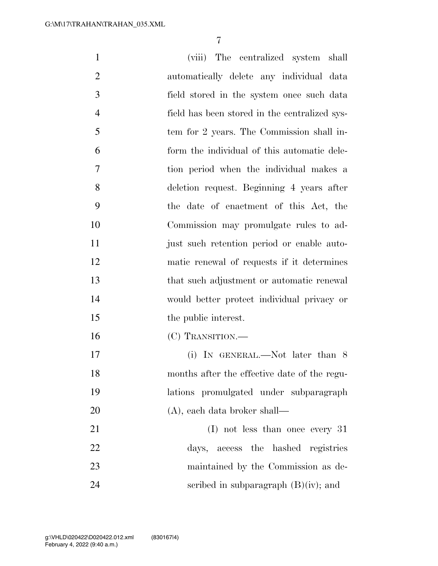(viii) The centralized system shall automatically delete any individual data field stored in the system once such data field has been stored in the centralized sys- tem for 2 years. The Commission shall in- form the individual of this automatic dele- tion period when the individual makes a deletion request. Beginning 4 years after the date of enactment of this Act, the Commission may promulgate rules to ad- just such retention period or enable auto- matic renewal of requests if it determines that such adjustment or automatic renewal would better protect individual privacy or 15 the public interest. (C) TRANSITION.— 17 (i) IN GENERAL.—Not later than 8 months after the effective date of the regu- lations promulgated under subparagraph (A), each data broker shall— 21 (I) not less than once every 31 days, access the hashed registries maintained by the Commission as de-24 seribed in subparagraph  $(B)(iv)$ ; and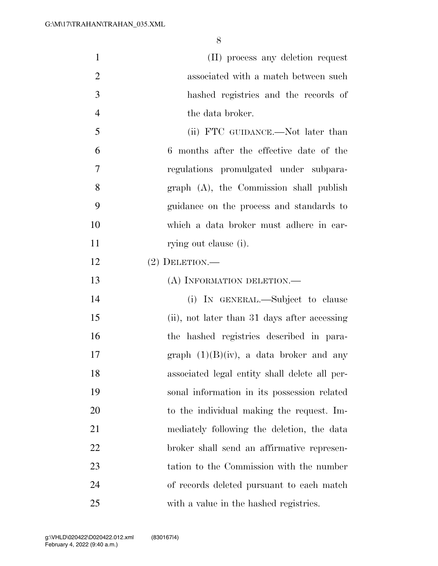| $\mathbf{1}$   | (II) process any deletion request             |
|----------------|-----------------------------------------------|
| $\overline{2}$ | associated with a match between such          |
| 3              | hashed registries and the records of          |
| $\overline{4}$ | the data broker.                              |
| 5              | (ii) FTC GUIDANCE.—Not later than             |
| 6              | 6 months after the effective date of the      |
| 7              | regulations promulgated under subpara-        |
| 8              | graph (A), the Commission shall publish       |
| 9              | guidance on the process and standards to      |
| 10             | which a data broker must adhere in car-       |
| 11             | rying out clause (i).                         |
| 12             | $(2)$ DELETION.—                              |
| 13             | (A) INFORMATION DELETION.—                    |
| 14             | (i) IN GENERAL.—Subject to clause             |
| 15             | (ii), not later than 31 days after accessing  |
| 16             | the hashed registries described in para-      |
| 17             | graph $(1)(B)(iv)$ , a data broker and any    |
| 18             | associated legal entity shall delete all per- |
| 19             | sonal information in its possession related   |
| 20             | to the individual making the request. Im-     |
| 21             | mediately following the deletion, the data    |
| 22             | broker shall send an affirmative represen-    |
| 23             | tation to the Commission with the number      |
| 24             | of records deleted pursuant to each match     |
| 25             | with a value in the hashed registries.        |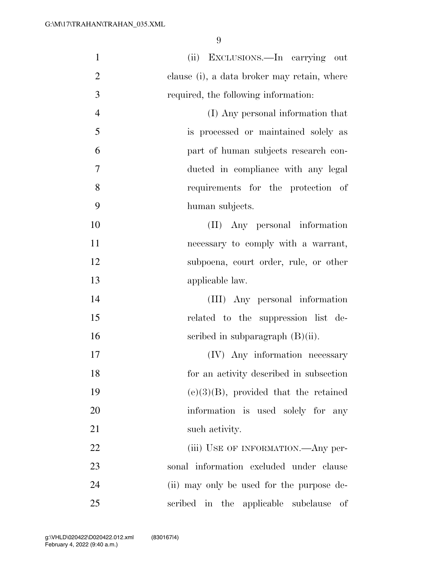| $\mathbf{1}$   | (ii) EXCLUSIONS.—In carrying out            |
|----------------|---------------------------------------------|
| $\overline{2}$ | clause (i), a data broker may retain, where |
| 3              | required, the following information:        |
| $\overline{4}$ | (I) Any personal information that           |
| 5              | is processed or maintained solely as        |
| 6              | part of human subjects research con-        |
| 7              | ducted in compliance with any legal         |
| 8              | requirements for the protection of          |
| 9              | human subjects.                             |
| 10             | (II) Any personal information               |
| 11             | necessary to comply with a warrant,         |
| 12             | subpoena, court order, rule, or other       |
| 13             | applicable law.                             |
| 14             | (III) Any personal information              |
| 15             | related to the suppression list de-         |
| 16             | scribed in subparagraph $(B)(ii)$ .         |
| 17             | (IV) Any information necessary              |
| 18             | for an activity described in subsection     |
| 19             | $(e)(3)(B)$ , provided that the retained    |
| 20             | information is used solely for any          |
| 21             | such activity.                              |
| 22             | (iii) USE OF INFORMATION.—Any per-          |
| 23             | sonal information excluded under clause     |
| 24             | (ii) may only be used for the purpose de-   |
| 25             | scribed in the applicable subclause<br>οf   |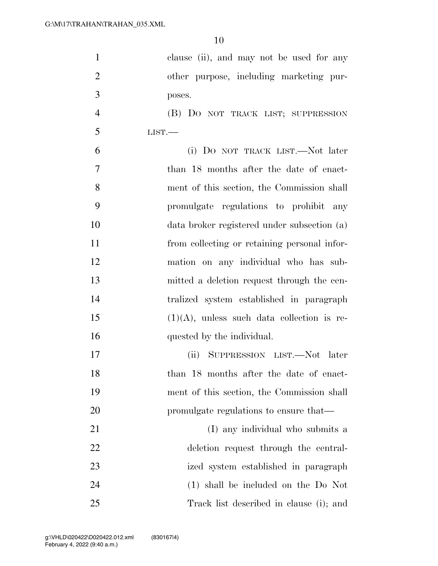| $\mathbf{1}$   | clause (ii), and may not be used for any      |
|----------------|-----------------------------------------------|
| $\overline{2}$ | other purpose, including marketing pur-       |
| 3              | poses.                                        |
| $\overline{4}$ | (B) DO NOT TRACK LIST; SUPPRESSION            |
| 5              | LIST.                                         |
| 6              | (i) DO NOT TRACK LIST.—Not later              |
| 7              | than 18 months after the date of enact-       |
| 8              | ment of this section, the Commission shall    |
| 9              | promulgate regulations to prohibit any        |
| 10             | data broker registered under subsection (a)   |
| 11             | from collecting or retaining personal infor-  |
| 12             | mation on any individual who has sub-         |
| 13             | mitted a deletion request through the cen-    |
| 14             | tralized system established in paragraph      |
| 15             | $(1)(A)$ , unless such data collection is re- |
| 16             | quested by the individual.                    |
| 17             | (ii) SUPPRESSION LIST.—Not later              |
| 18             | than 18 months after the date of enact-       |
| 19             | ment of this section, the Commission shall    |
| 20             | promulgate regulations to ensure that—        |
| 21             | (I) any individual who submits a              |
| 22             | deletion request through the central-         |
| 23             | ized system established in paragraph          |
| 24             | (1) shall be included on the Do Not           |
| 25             | Track list described in clause (i); and       |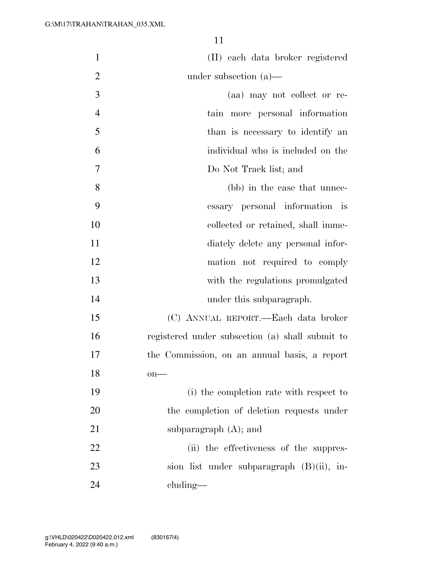| $\mathbf{1}$   | (II) each data broker registered                |
|----------------|-------------------------------------------------|
| $\overline{2}$ | under subsection $(a)$ —                        |
| 3              | (aa) may not collect or re-                     |
| $\overline{4}$ | tain more personal information                  |
| 5              | than is necessary to identify an                |
| 6              | individual who is included on the               |
| 7              | Do Not Track list; and                          |
| 8              | (bb) in the case that unnec-                    |
| 9              | essary personal information is                  |
| 10             | collected or retained, shall imme-              |
| 11             | diately delete any personal infor-              |
| 12             | mation not required to comply                   |
| 13             | with the regulations promulgated                |
| 14             | under this subparagraph.                        |
| 15             | (C) ANNUAL REPORT.—Each data broker             |
| 16             | registered under subsection (a) shall submit to |
| 17             | the Commission, on an annual basis, a report    |
| 18             | $on$ —                                          |
| 19             | (i) the completion rate with respect to         |
| 20             | the completion of deletion requests under       |
| 21             | subparagraph $(A)$ ; and                        |
| 22             | (ii) the effectiveness of the suppres-          |
| 23             | sion list under subparagraph (B)(ii), in-       |
| 24             | $cluding$ —                                     |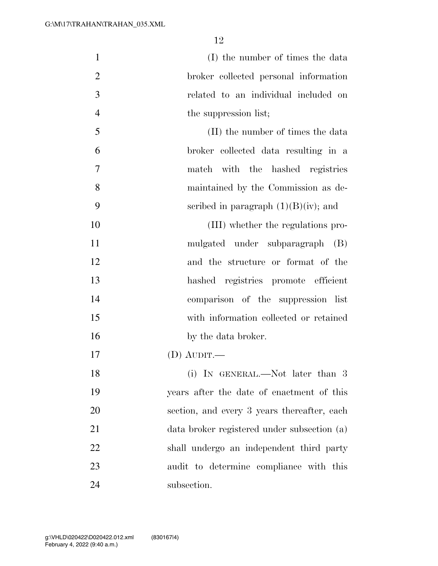| $\mathbf{1}$   | (I) the number of times the data            |
|----------------|---------------------------------------------|
| $\overline{2}$ | broker collected personal information       |
| 3              | related to an individual included on        |
| $\overline{4}$ | the suppression list;                       |
| 5              | (II) the number of times the data           |
| 6              | broker collected data resulting in a        |
| 7              | match with the hashed registries            |
| 8              | maintained by the Commission as de-         |
| 9              | scribed in paragraph $(1)(B)(iv)$ ; and     |
| 10             | (III) whether the regulations pro-          |
| 11             | mulgated under subparagraph (B)             |
| 12             | and the structure or format of the          |
| 13             | hashed registries promote efficient         |
| 14             | comparison of the suppression list          |
| 15             | with information collected or retained      |
| 16             | by the data broker.                         |
| 17             | (D) AUDIT.—                                 |
| 18             | (i) IN GENERAL.—Not later than 3            |
| 19             | years after the date of enactment of this   |
| 20             | section, and every 3 years thereafter, each |
| 21             | data broker registered under subsection (a) |
| 22             | shall undergo an independent third party    |
| 23             | audit to determine compliance with this     |
| 24             | subsection.                                 |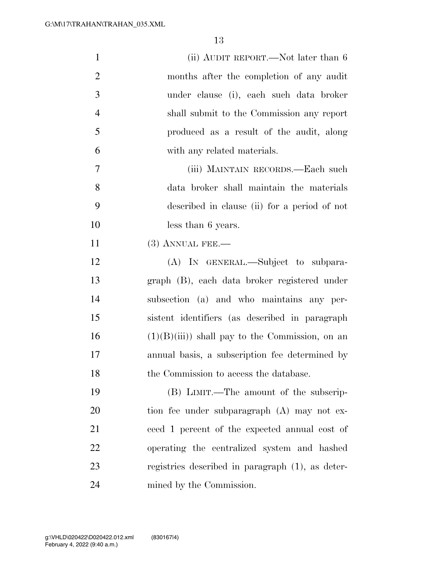| $\mathbf{1}$   | (ii) AUDIT REPORT.—Not later than 6              |
|----------------|--------------------------------------------------|
| $\overline{2}$ | months after the completion of any audit         |
| 3              | under clause (i), each such data broker          |
| $\overline{4}$ | shall submit to the Commission any report        |
| 5              | produced as a result of the audit, along         |
| 6              | with any related materials.                      |
| $\overline{7}$ | (iii) MAINTAIN RECORDS.—Each such                |
| 8              | data broker shall maintain the materials         |
| 9              | described in clause (ii) for a period of not     |
| 10             | less than 6 years.                               |
| 11             | $(3)$ ANNUAL FEE.—                               |
| 12             | (A) IN GENERAL.—Subject to subpara-              |
| 13             | graph (B), each data broker registered under     |
| 14             | subsection (a) and who maintains any per-        |
| 15             | sistent identifiers (as described in paragraph   |
| 16             | $(1)(B)(iii)$ shall pay to the Commission, on an |
| 17             | annual basis, a subscription fee determined by   |
| 18             | the Commission to access the database.           |
| 19             | (B) LIMIT.—The amount of the subscrip-           |
| 20             | tion fee under subparagraph (A) may not ex-      |
| 21             | ceed 1 percent of the expected annual cost of    |
| 22             | operating the centralized system and hashed      |
| 23             | registries described in paragraph (1), as deter- |
| 24             | mined by the Commission.                         |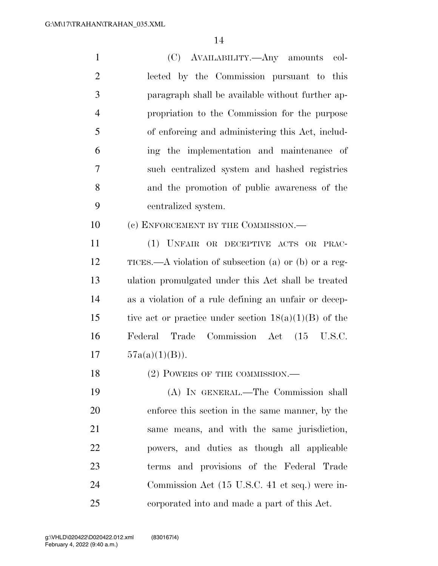| $\mathbf{1}$   | (C) AVAILABILITY.—Any amounts<br>col-                   |
|----------------|---------------------------------------------------------|
| $\overline{2}$ | lected by the Commission pursuant to this               |
| 3              | paragraph shall be available without further ap-        |
| $\overline{4}$ | propriation to the Commission for the purpose           |
| 5              | of enforcing and administering this Act, includ-        |
| 6              | ing the implementation and maintenance of               |
| 7              | such centralized system and hashed registries           |
| 8              | and the promotion of public awareness of the            |
| 9              | centralized system.                                     |
| 10             | (c) ENFORCEMENT BY THE COMMISSION.—                     |
| 11             | (1) UNFAIR OR DECEPTIVE ACTS OR PRAC-                   |
| 12             | TICES.—A violation of subsection (a) or (b) or a reg-   |
| 13             | ulation promulgated under this Act shall be treated     |
| 14             | as a violation of a rule defining an unfair or decep-   |
| 15             | tive act or practice under section $18(a)(1)(B)$ of the |
| 16             | Commission Act (15 U.S.C.<br>Federal<br>Trade           |
| 17             | $57a(a)(1)(B)$ ).                                       |
| 18             | (2) POWERS OF THE COMMISSION.—                          |
| 19             | (A) IN GENERAL.—The Commission shall                    |
| 20             | enforce this section in the same manner, by the         |
| 21             | same means, and with the same jurisdiction,             |
| 22             | powers, and duties as though all applicable             |
| 23             | terms and provisions of the Federal Trade               |
| 24             | Commission Act (15 U.S.C. 41 et seq.) were in-          |
| 25             | corporated into and made a part of this Act.            |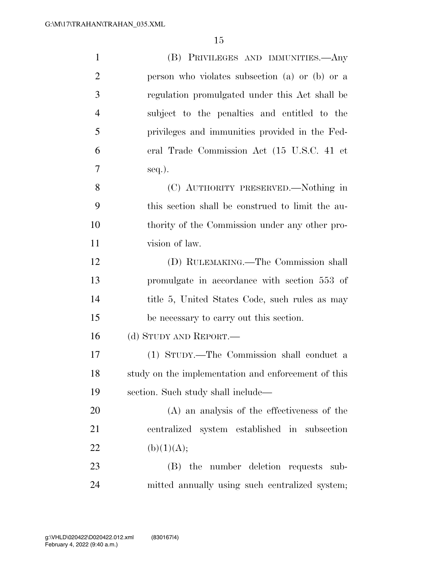| $\mathbf{1}$   | (B) PRIVILEGES AND IMMUNITIES.—Any                  |
|----------------|-----------------------------------------------------|
| $\overline{2}$ | person who violates subsection (a) or (b) or a      |
| 3              | regulation promulgated under this Act shall be      |
| $\overline{4}$ | subject to the penalties and entitled to the        |
| 5              | privileges and immunities provided in the Fed-      |
| 6              | eral Trade Commission Act (15 U.S.C. 41 et          |
| 7              | $seq.$ ).                                           |
| 8              | (C) AUTHORITY PRESERVED.—Nothing in                 |
| 9              | this section shall be construed to limit the au-    |
| 10             | thority of the Commission under any other pro-      |
| 11             | vision of law.                                      |
| 12             | (D) RULEMAKING.—The Commission shall                |
| 13             | promulgate in accordance with section 553 of        |
| 14             | title 5, United States Code, such rules as may      |
| 15             | be necessary to carry out this section.             |
| 16             | (d) STUDY AND REPORT.—                              |
| 17             | (1) STUDY.—The Commission shall conduct a           |
| 18             | study on the implementation and enforcement of this |
| 19             | section. Such study shall include—                  |
| 20             | (A) an analysis of the effectiveness of the         |
| 21             | centralized system established in subsection        |
| 22             | (b)(1)(A);                                          |
| 23             | (B) the number deletion requests sub-               |
| 24             | mitted annually using such centralized system;      |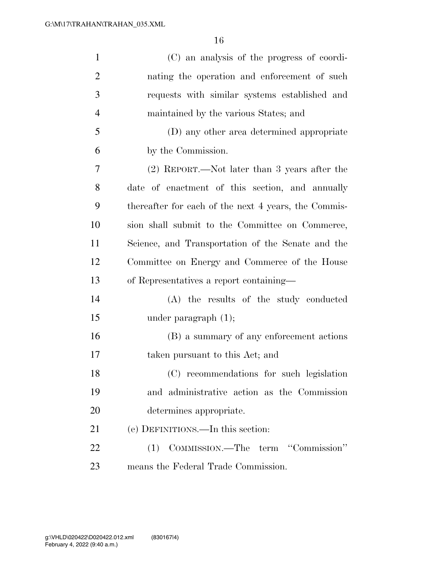| $\mathbf{1}$   | (C) an analysis of the progress of coordi-           |
|----------------|------------------------------------------------------|
| $\overline{2}$ | nating the operation and enforcement of such         |
| 3              | requests with similar systems established and        |
| $\overline{4}$ | maintained by the various States; and                |
| 5              | (D) any other area determined appropriate            |
| 6              | by the Commission.                                   |
| 7              | (2) REPORT.—Not later than 3 years after the         |
| 8              | date of enactment of this section, and annually      |
| 9              | thereafter for each of the next 4 years, the Commis- |
| 10             | sion shall submit to the Committee on Commerce,      |
| 11             | Science, and Transportation of the Senate and the    |
| 12             | Committee on Energy and Commerce of the House        |
| 13             | of Representatives a report containing—              |
| 14             | (A) the results of the study conducted               |
| 15             | under paragraph $(1)$ ;                              |
| 16             | (B) a summary of any enforcement actions             |
| 17             | taken pursuant to this Act; and                      |
| 18             | (C) recommendations for such legislation             |
| 19             | and administrative action as the Commission          |
| 20             | determines appropriate.                              |
| 21             | (e) DEFINITIONS.—In this section:                    |
| 22             | (1) COMMISSION.—The term "Commission"                |
| 23             | means the Federal Trade Commission.                  |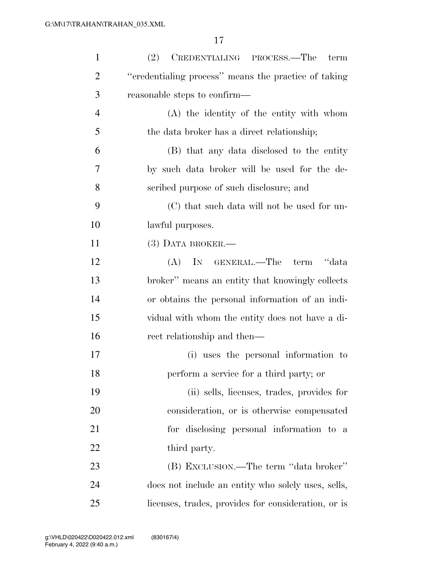| $\mathbf{1}$   | (2)<br>CREDENTIALING PROCESS.—The<br>term            |
|----------------|------------------------------------------------------|
| $\overline{2}$ | "credentialing process" means the practice of taking |
| 3              | reasonable steps to confirm—                         |
| $\overline{4}$ | (A) the identity of the entity with whom             |
| 5              | the data broker has a direct relationship;           |
| 6              | (B) that any data disclosed to the entity            |
| 7              | by such data broker will be used for the de-         |
| 8              | scribed purpose of such disclosure; and              |
| 9              | (C) that such data will not be used for un-          |
| 10             | lawful purposes.                                     |
| 11             | $(3)$ DATA BROKER.—                                  |
| 12             | IN GENERAL.—The<br>term "data"<br>(A)                |
| 13             | broker" means an entity that knowingly collects      |
| 14             | or obtains the personal information of an indi-      |
| 15             | vidual with whom the entity does not have a di-      |
| 16             | rect relationship and then—                          |
| 17             | (i) uses the personal information to                 |
| 18             | perform a service for a third party; or              |
| 19             | (ii) sells, licenses, trades, provides for           |
| 20             | consideration, or is otherwise compensated           |
| 21             | for disclosing personal information to a             |
| 22             | third party.                                         |
| 23             | (B) EXCLUSION.—The term "data broker"                |
| 24             | does not include an entity who solely uses, sells,   |
| 25             | licenses, trades, provides for consideration, or is  |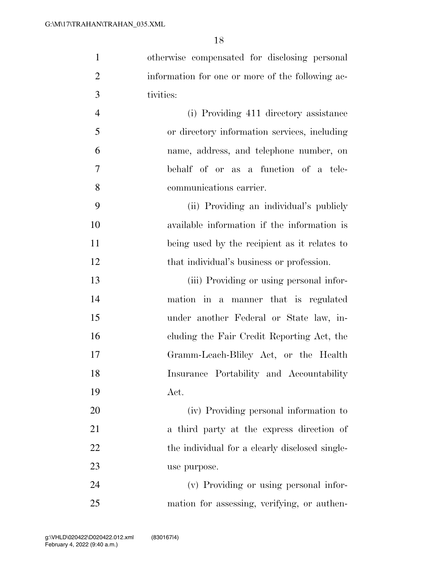| $\mathbf{1}$   | otherwise compensated for disclosing personal    |
|----------------|--------------------------------------------------|
| $\overline{2}$ | information for one or more of the following ac- |
| 3              | tivities:                                        |
| $\overline{4}$ | (i) Providing 411 directory assistance           |
| 5              | or directory information services, including     |
| 6              | name, address, and telephone number, on          |
| 7              | behalf of or as a function of a tele-            |
| 8              | communications carrier.                          |
| 9              | (ii) Providing an individual's publicly          |
| 10             | available information if the information is      |
| 11             | being used by the recipient as it relates to     |
| 12             | that individual's business or profession.        |
| 13             | (iii) Providing or using personal infor-         |
| 14             | mation in a manner that is regulated             |
| 15             | under another Federal or State law, in-          |
| 16             | cluding the Fair Credit Reporting Act, the       |
| 17             | Gramm-Leach-Bliley Act, or the Health            |
| 18             | Insurance Portability and Accountability         |
| 19             | Act.                                             |
| 20             | (iv) Providing personal information to           |
| 21             | a third party at the express direction of        |
| 22             | the individual for a clearly disclosed single-   |
| 23             | use purpose.                                     |
| 24             | (v) Providing or using personal infor-           |
| 25             | mation for assessing, verifying, or authen-      |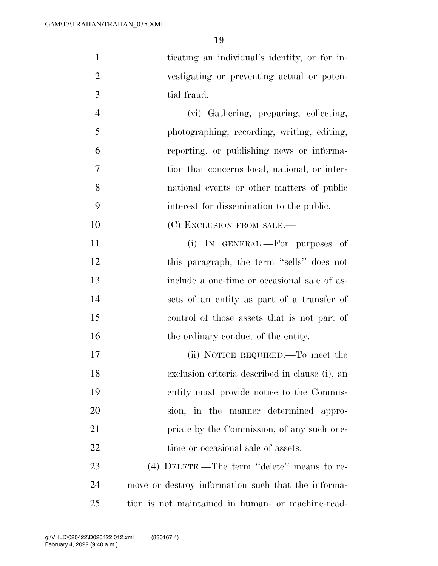ticating an individual's identity, or for in- vestigating or preventing actual or poten-tial fraud.

 (vi) Gathering, preparing, collecting, photographing, recording, writing, editing, reporting, or publishing news or informa- tion that concerns local, national, or inter- national events or other matters of public interest for dissemination to the public.

10 (C) EXCLUSION FROM SALE.—

 (i) IN GENERAL.—For purposes of 12 this paragraph, the term "sells" does not include a one-time or occasional sale of as- sets of an entity as part of a transfer of control of those assets that is not part of 16 the ordinary conduct of the entity.

17 (ii) NOTICE REQUIRED.—To meet the exclusion criteria described in clause (i), an entity must provide notice to the Commis- sion, in the manner determined appro-**priate by the Commission, of any such one-**22 time or occasional sale of assets.

 (4) DELETE.—The term ''delete'' means to re- move or destroy information such that the informa-tion is not maintained in human- or machine-read-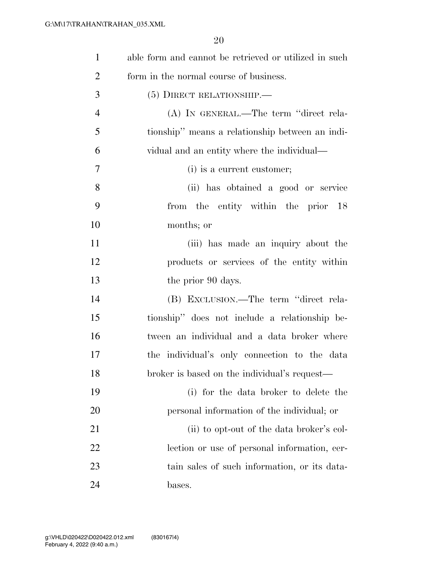| $\mathbf{1}$   | able form and cannot be retrieved or utilized in such |
|----------------|-------------------------------------------------------|
| $\overline{2}$ | form in the normal course of business.                |
| 3              | $(5)$ DIRECT RELATIONSHIP.—                           |
| $\overline{4}$ | (A) IN GENERAL.—The term "direct rela-                |
| 5              | tionship" means a relationship between an indi-       |
| 6              | vidual and an entity where the individual—            |
| $\overline{7}$ | (i) is a current customer;                            |
| 8              | (ii) has obtained a good or service                   |
| 9              | from the entity within the prior 18                   |
| 10             | months; or                                            |
| 11             | (iii) has made an inquiry about the                   |
| 12             | products or services of the entity within             |
| 13             | the prior 90 days.                                    |
| 14             | (B) EXCLUSION.—The term "direct rela-                 |
| 15             | tionship" does not include a relationship be-         |
| 16             | tween an individual and a data broker where           |
| 17             | the individual's only connection to the data          |
| 18             | broker is based on the individual's request-          |
| 19             | (i) for the data broker to delete the                 |
| 20             | personal information of the individual; or            |
| 21             | (ii) to opt-out of the data broker's col-             |
| 22             | lection or use of personal information, cer-          |
| 23             | tain sales of such information, or its data-          |
| 24             | bases.                                                |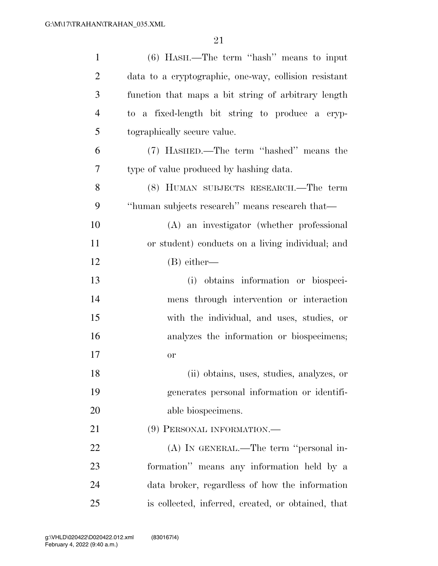| $\mathbf{1}$   | $(6)$ HASH.—The term "hash" means to input            |
|----------------|-------------------------------------------------------|
| $\overline{2}$ | data to a cryptographic, one-way, collision resistant |
| 3              | function that maps a bit string of arbitrary length   |
| $\overline{4}$ | to a fixed-length bit string to produce a cryp-       |
| 5              | tographically secure value.                           |
| 6              | (7) HASHED.—The term "hashed" means the               |
| 7              | type of value produced by hashing data.               |
| 8              | (8) HUMAN SUBJECTS RESEARCH.—The term                 |
| 9              | "human subjects research" means research that—        |
| 10             | (A) an investigator (whether professional             |
| 11             | or student) conducts on a living individual; and      |
| 12             | $(B)$ either—                                         |
| 13             | (i) obtains information or biospeci-                  |
| 14             | mens through intervention or interaction              |
| 15             | with the individual, and uses, studies, or            |
| 16             | analyzes the information or biospecimens;             |
| 17             | <b>or</b>                                             |
| 18             | (ii) obtains, uses, studies, analyzes, or             |
| 19             | generates personal information or identifi-           |
| 20             | able biospecimens.                                    |
| 21             | (9) PERSONAL INFORMATION.-                            |
| 22             | (A) IN GENERAL.—The term "personal in-                |
| 23             | formation" means any information held by a            |
| 24             | data broker, regardless of how the information        |
| 25             | is collected, inferred, created, or obtained, that    |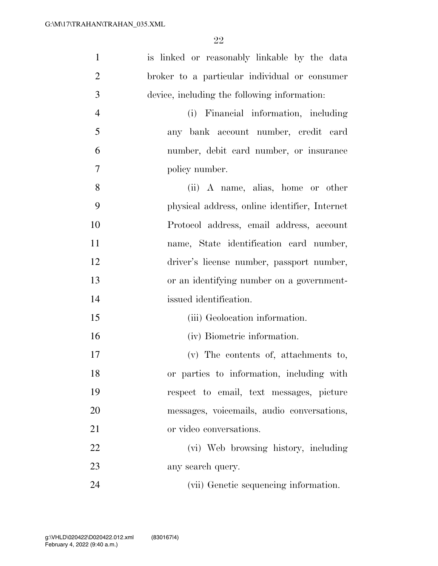| $\mathbf{1}$   | is linked or reasonably linkable by the data  |
|----------------|-----------------------------------------------|
| $\overline{2}$ | broker to a particular individual or consumer |
|                |                                               |
| 3              | device, including the following information:  |
| $\overline{4}$ | (i) Financial information, including          |
| 5              | any bank account number, credit card          |
| 6              | number, debit card number, or insurance       |
| 7              | policy number.                                |
| 8              | (ii) A name, alias, home or other             |
| 9              | physical address, online identifier, Internet |
| 10             | Protocol address, email address, account      |
| 11             | name, State identification card number,       |
| 12             | driver's license number, passport number,     |
| 13             | or an identifying number on a government-     |
| 14             | issued identification.                        |
| 15             | (iii) Geolocation information.                |
| 16             | (iv) Biometric information.                   |
| 17             | (v) The contents of, attachments to,          |
| 18             | or parties to information, including with     |
| 19             | respect to email, text messages, picture      |
| 20             | messages, voicemails, audio conversations,    |
| 21             | or video conversations.                       |
| 22             | (vi) Web browsing history, including          |
| 23             | any search query.                             |
| 24             | (vii) Genetic sequencing information.         |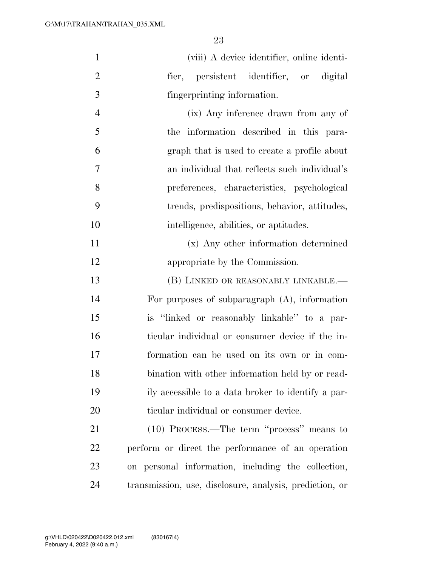| $\mathbf{1}$   | (viii) A device identifier, online identi-              |
|----------------|---------------------------------------------------------|
| $\overline{2}$ | fier, persistent identifier, or digital                 |
| 3              | fingerprinting information.                             |
| $\overline{4}$ | (ix) Any inference drawn from any of                    |
| 5              | the information described in this para-                 |
| 6              | graph that is used to create a profile about            |
| 7              | an individual that reflects such individual's           |
| 8              | preferences, characteristics, psychological             |
| 9              | trends, predispositions, behavior, attitudes,           |
| 10             | intelligence, abilities, or aptitudes.                  |
| 11             | (x) Any other information determined                    |
| 12             | appropriate by the Commission.                          |
| 13             | (B) LINKED OR REASONABLY LINKABLE.-                     |
| 14             | For purposes of subparagraph $(A)$ , information        |
| 15             | is "linked or reasonably linkable" to a par-            |
| 16             | ticular individual or consumer device if the in-        |
| 17             | formation can be used on its own or in com-             |
| 18             | bination with other information held by or read-        |
| 19             | ily accessible to a data broker to identify a par-      |
| 20             | ticular individual or consumer device.                  |
| 21             | $(10)$ PROCESS.—The term "process" means to             |
| 22             | perform or direct the performance of an operation       |
| 23             | on personal information, including the collection,      |
| 24             | transmission, use, disclosure, analysis, prediction, or |